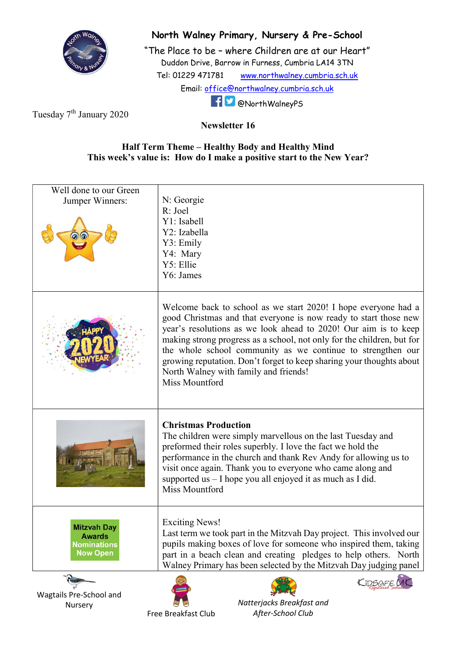

## North Walney Primary, Nursery & Pre-School

"The Place to be – where Children are at our Heart" Duddon Drive, Barrow in Furness, Cumbria LA14 3TN Tel: 01229 471781 www.northwalney.cumbria.sch.uk Email: office@northwalney.cumbria.sch.uk @NorthWalneyPS

Tuesday 7<sup>th</sup> January 2020

Newsletter 16

## Half Term Theme – Healthy Body and Healthy Mind This week's value is: How do I make a positive start to the New Year?

| Well done to our Green<br>Jumper Winners:                                    | N: Georgie<br>R: Joel<br>Y1: Isabell<br>Y2: Izabella<br>Y3: Emily<br>Y4: Mary<br>Y5: Ellie<br>Y6: James                                                                                                                                                                                                                                                                                                                                                                           |
|------------------------------------------------------------------------------|-----------------------------------------------------------------------------------------------------------------------------------------------------------------------------------------------------------------------------------------------------------------------------------------------------------------------------------------------------------------------------------------------------------------------------------------------------------------------------------|
|                                                                              | Welcome back to school as we start 2020! I hope everyone had a<br>good Christmas and that everyone is now ready to start those new<br>year's resolutions as we look ahead to 2020! Our aim is to keep<br>making strong progress as a school, not only for the children, but for<br>the whole school community as we continue to strengthen our<br>growing reputation. Don't forget to keep sharing your thoughts about<br>North Walney with family and friends!<br>Miss Mountford |
|                                                                              | <b>Christmas Production</b><br>The children were simply marvellous on the last Tuesday and<br>preformed their roles superbly. I love the fact we hold the<br>performance in the church and thank Rev Andy for allowing us to<br>visit once again. Thank you to everyone who came along and<br>supported us - I hope you all enjoyed it as much as I did.<br>Miss Mountford                                                                                                        |
| <b>Mitzvah Day</b><br><b>Awards</b><br><b>Nominations</b><br><b>Now Open</b> | <b>Exciting News!</b><br>Last term we took part in the Mitzvah Day project. This involved our<br>pupils making boxes of love for someone who inspired them, taking<br>part in a beach clean and creating pledges to help others. North<br>Walney Primary has been selected by the Mitzvah Day judging panel                                                                                                                                                                       |
| Wagtails Pre-School and<br>Nursery                                           | Natterjacks Breakfast and<br>After-School Club<br>Free Breakfast Club                                                                                                                                                                                                                                                                                                                                                                                                             |